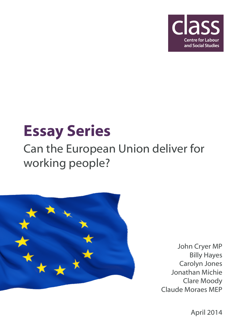

# Essay Series

### Can the European Union deliver for working people?



John Cryer MP Billy Hayes Carolyn Jones Jonathan Michie Clare Moody Claude Moraes MEP

April 2014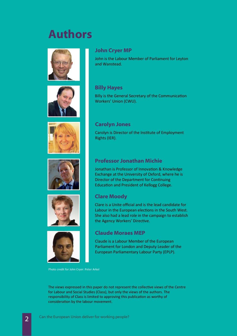### Authors





### John Cryer MP

John is the Labour Member of Parliament for Leyton and Wanstead.

### Billy Hayes

Billy is the General Secretary of the Communication Workers' Union (CWU).



### Carolyn Jones

Carolyn is Director of the Instute of Employment Rights (IER).

Jonathan is Professor of Innovation & Knowledge Exchange at the University of Oxford, where he is

Director of the Department for Continuing

Professor Jonathan Michie





### Education and President of Kellogg College.

### Clare Moody

Clare is a Unite official and is the lead candidate for Labour in the European elections in the South West. She also had a lead role in the campaign to establish the Agency Workers' Directive.

### Claude Moraes MEP

Claude is a Labour Member of the European Parliament for London and Deputy Leader of the European Parliamentary Labour Party (EPLP).

Photo credit for John Cryer: Peter Arkel

The views expressed in this paper do not represent the collective views of the Centre for Labour and Social Studies (Class), but only the views of the authors. The responsibility of Class is limited to approving this publication as worthy of consideration by the labour movement.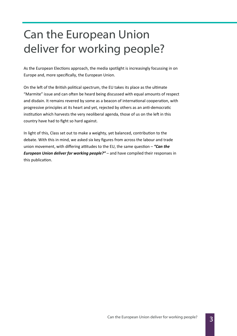### Can the European Union deliver for working people?

As the European Elections approach, the media spotlight is increasingly focussing in on Europe and, more specifically, the European Union.

On the left of the British political spectrum, the EU takes its place as the ultimate "Marmite" issue and can often be heard being discussed with equal amounts of respect and disdain. It remains revered by some as a beacon of international cooperation, with progressive principles at its heart and yet, rejected by others as an anti-democratic institution which harvests the very neoliberal agenda, those of us on the left in this country have had to fight so hard against.

In light of this, Class set out to make a weighty, yet balanced, contribution to the debate. With this in mind, we asked six key figures from across the labour and trade union movement, with differing attitudes to the EU, the same question  $-$  "Can the **European Union deliver for working people?"** – and have compiled their responses in this publication.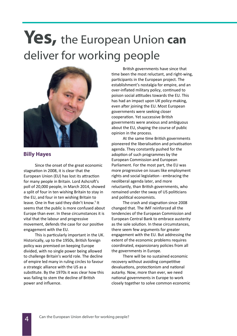## Yes, the European Union can deliver for working people



### Billy Hayes

 Since the onset of the great economic stagnation in 2008, it is clear that the European Union (EU) has lost its attraction for many people in Britain. Lord Ashcroft's poll of 20,000 people, in March 2014, showed a split of four in ten wishing Britain to stay in the EU, and four in ten wishing Britain to leave. One in five said they didn't know.<sup>1</sup> It seems that the public is more confused about Europe than ever. In these circumstances it is vital that the labour and progressive movement, defends the case for our positive engagement with the EU.

This is particularly important in the UK. Historically, up to the 1950s, British foreign policy was premised on keeping Europe divided, with no single power being allowed to challenge Britain's world role. The decline of empire led many in ruling circles to favour a strategic alliance with the US as a substitute. By the 1970s it was clear how this was failing to stem the decline of British power and influence.

British governments have since that time been the most reluctant, and right-wing, participants in the European project. The establishment's nostalgia for empire, and an over-inflated military policy, continued to poison social attitudes towards the EU. This has had an impact upon UK policy-making, even after joining the EU. Most European governments were seeking closer cooperation. Yet successive British governments were anxious and ambiguous about the EU, shaping the course of public opinion in the process.

At the same time British governments pioneered the liberalisation and privatisation agenda. They constantly pushed for the adoption of such programmes by the European Commission and European Parliament. For the most part, the EU was more progressive on issues like employment rights and social legislation - embracing the neoliberal agenda later, and more reluctantly, than British governments, who remained under the sway of US politicians and political economists.

The crash and stagnation since 2008 changed that. The IMF reinforced all the tendencies of the European Commission and European Central Bank to embrace austerity as the sole solution. In these circumstances, there seem few arguments for greater engagement with the EU. But addressing the extent of the economic problems requires coordinated, expansionary policies from all the governments in Europe.

 There will be no sustained economic recovery without avoiding competitive devaluations, protectionism and national autarky. Now, more than ever, we need national governments in Europe to work closely together to solve common economic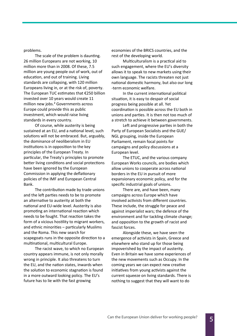problems.

The scale of the problem is daunting. 26 million Europeans are not working, 10 million more than in 2008. Of these, 7.5 million are young people out of work, out of education, and out of training. Living standards are collapsing, with 120 million Europeans living in, or at the risk of, poverty. The European TUC estimates that  $E$ 250 billion invested over 10 years would create 11 million new jobs.<sup>2</sup> Governments across Europe could provide this as public investment, which would raise living standards in every country.

 Of course, while austerity is being sustained at an EU, and a national level, such solutions will not be embraced. But, arguably, the dominance of neoliberalism in EU institutions is in opposition to the key principles of the European Treaty. In particular, the Treaty's principles to promote better living conditions and social protections have been ignored by the European Commission in applying the deflationary policies of the IMF and European Central Bank.

The contribution made by trade unions and the left parties needs to be to promote an alternative to austerity at both the national and EU-wide level. Austerity is also promoting an international reaction which needs to be fought. That reaction takes the form of a vicious hostility to migrant workers, and ethnic minorities  $-$  particularly Muslims and the Roma. This new search for scapegoats runs in the opposite direction to a multinational, multicultural Europe.

 The racist wave, to which no European country appears immune, is not only morally wrong in principle. It also threatens to turn the EU, and the nation states, inwards when the solution to economic stagnation is found in a more outward looking policy. The EU's future has to lie with the fast growing

economies of the BRICS countries, and the rest of the developing world.

Multiculturalism is a practical aid to such engagement, where the EU's diversity allows it to speak to new markets using their own language. The racists threaten not just national domestic harmony, but also our long -term economic welfare.

In the current international political situation, it is easy to despair of social progress being possible at all. Yet coordination is possible across the EU both in unions and parties. It is then not too much of a stretch to achieve it between governments.

Left and progressive parties in both the Party of European Socialists and the GUE/ NGL grouping, inside the European Parliament, remain focal points for campaigns and policy discussions at a European level.

 The ETUC, and the various company European Works councils, are bodies which allow unions to cooperate across national borders in the EU in pursuit of more expansionary economic policy, and for the specific industrial goals of unions.

 There are, and have been, many campaigns across Europe which have involved activists from different countries. These include, the struggle for peace and against imperialist wars; the defence of the environment and for tackling climate change; and opposition to the growth of racist and fascist forces.

 Alongside these, we have seen the emergence of activists in Spain, Greece and elsewhere who stand up for those being impoverished by the impact of austerity. Even in Britain we have some experiences of the new movements such as Occupy. In the coming years we can expect new creative initiatives from young activists against the current squeeze on living standards. There is nothing to suggest that they will want to do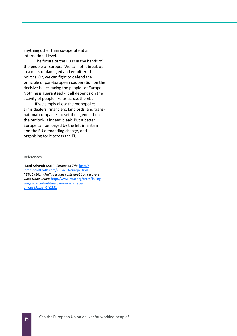anything other than co-operate at an international level.

 The future of the EU is in the hands of the people of Europe. We can let it break up in a mass of damaged and embittered politics. Or, we can fight to defend the principle of pan-European cooperation on the decisive issues facing the peoples of Europe. Nothing is guaranteed - it all depends on the activity of people like us across the EU.

 If we simply allow the monopolies, arms dealers, financiers, landlords, and transnational companies to set the agenda then the outlook is indeed bleak. But a better Europe can be forged by the left in Britain and the EU demanding change, and organising for it across the EU.

#### **References**

<sup>1</sup> Lord Ashcroft (2014) Europe on Trial http:// lordashcroftpolls.com/2014/03/europe-trial ² ETUC (2014) Falling wages casts doubt on recovery warn trade unions http://www.etuc.org/press/fallingwages-casts-doubt-recovery-warn-tradeunions#.UzqehGfz2M1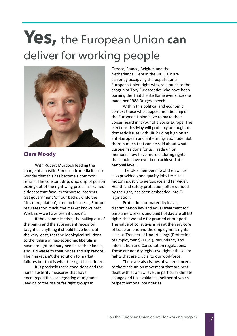# Yes, the European Union can deliver for working people



### Clare Moody

 With Rupert Murdoch leading the charge of a hostile Eurosceptic media it is no wonder that this has become a common refrain. The constant drip, drip, drip of poison oozing out of the right wing press has framed a debate that favours corporate interests. Get government 'off our backs', undo the 'ties of regulation', 'free up business', Europe regulates too much, the market knows best. Well, no – we have seen it doesn't.

 If the economic crisis, the bailing out of the banks and the subsequent recession taught us anything it should have been, at the very least, that the ideological solutions to the failure of neo-economic liberalism have brought ordinary people to their knees, and laid waste to their hopes and aspirations. The market isn't the solution to market failures but that is what the right has offered.

It is precisely these conditions and the harsh austerity measures that have encouraged the scapegoating of migrants leading to the rise of far right groups in

Greece, France, Belgium and the Netherlands. Here in the UK, UKIP are currently occupying the populist anti-European Union right-wing role much to the chagrin of Tory Eurosceptics who have been burning the Thatcherite flame ever since she made her 1988 Bruges speech.

Within this political and economic context those who support membership of the European Union have to make their voices heard in favour of a Social Europe. The elections this May will probably be fought on domestic issues with UKIP riding high on an anti-European and anti-immigration tide. But there is much that can be said about what Europe has done for us. Trade union members now have more enduring rights than could have ever been achieved at a national level.

 The UK's membership of the EU has also provided good quality jobs from the motor industry to aerospace and far wider. Health and safety protection, often derided by the right, has been embedded into EU legislation.

Protection for maternity leave, discrimination law and equal treatment for part-time workers and paid holiday are all EU rights that we take for granted at our peril. The value of collectivism lies at the very core of trade unions and the employment rights such as Transfer of Undertakings (Protection of Employment) (TUPE), redundancy and Information and Consultation regulations. These are not dry legislative rights; these are rights that are crucial to our workforce.

 There are also issues of wider concern to the trade union movement that are best dealt with at an EU level, in particular climate change and tax avoidance, neither of which respect national boundaries.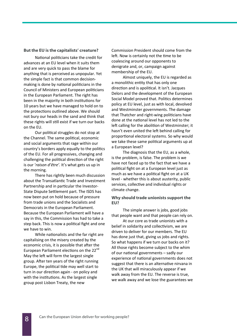### But the EU is the capitalists' creature?

National politicians take the credit for advances at an EU level when it suits them and are very quick to pass the blame for anything that is perceived as unpopular. Yet the simple fact is that common decisionmaking is done by national politicians in the Council of Ministers and European politicians in the European Parliament. The right has been in the majority in both institutions for 10 years but we have managed to hold on to the protections outlined above. We should not bury our heads in the sand and think that these rights will still exist if we turn our backs on the EU.

Our political struggles do not stop at the Channel. The same political, economic and social arguments that rage within our country's borders apply equally to the politics of the EU. For all progressives, changing and challenging the political direction of the right is our 'raison d'être'. It's what gets us up in the morning.

 There has rightly been much discussion about the Transatlantic Trade and Investment Partnership and in particular the Investor-State Dispute Settlement part. The ISDS has now been put on hold because of pressure from trade unions and the Socialists and Democrats in the European Parliament. Because the European Parliament will have a say in this, the Commission has had to take a step back. This is now a political fight and one we have to win.

While nationalists and the far right are capitalising on the misery created by the economic crisis, it is possible that after the European Parliament elections on the 22<sup>nd</sup> May the left will form the largest single group. After ten years of the right running Europe, the political tide may well start to turn in our direction again - on policy and with the institutions. As the largest single group post Lisbon Treaty, the new

Commission President should come from the left. Now is certainly not the time to be coalescing around our opponents to denigrate and, or, campaign against membership of the EU.

 Almost uniquely, the EU is regarded as a monolithic entity that has only one direction and is apolitical. It isn't. Jacques Delors and the development of the European Social Model proved that. Politics determines policy at EU level, just as with local, devolved and Westminster governments. The damage that Thatcher and right-wing politicians have done at the national level has not led to the left calling for the abolition of Westminster; it hasn't even united the left behind calling for proportional electoral systems. So why would we take these same political arguments up at a European level?

 The diagnosis that the EU, as a whole, is the problem, is false. The problem is we have not faced up to the fact that we have a political fight on at a European level just as much as we have a political fight on at a UK level - whether this is about austerity, public services, collective and individual rights or climate change.

#### Why should trade unionists support the EU?

The simple answer is jobs, good jobs that people want and that people can rely on.

 At our core as trade unionists with a belief in solidarity and collectivism, we are driven to deliver for our members. The EU has done just that, giving us jobs and rights. So what happens if we turn our backs on it? All those rights become subject to the whim of our national governments  $-$  sadly our experience of national governments does not suggest that there is an alternative nirvana in the UK that will miraculously appear if we walk away from the EU. The reverse is true, we walk away and we lose the guarantees we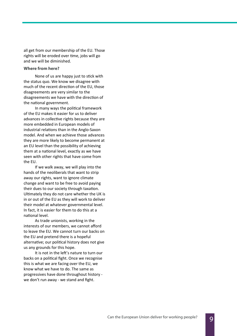all get from our membership of the EU. Those rights will be eroded over time, jobs will go and we will be diminished.

### Where from here?

None of us are happy just to stick with the status quo. We know we disagree with much of the recent direction of the EU, those disagreements are very similar to the disagreements we have with the direction of the national government.

In many ways the political framework of the EU makes it easier for us to deliver advances in collective rights because they are more embedded in European models of industrial relations than in the Anglo-Saxon model. And when we achieve those advances they are more likely to become permanent at an EU level than the possibility of achieving them at a national level, exactly as we have seen with other rights that have come from the EU.

 If we walk away, we will play into the hands of the neoliberals that want to strip away our rights, want to ignore climate change and want to be free to avoid paying their dues to our society through taxation. Ultimately they do not care whether the UK is in or out of the EU as they will work to deliver their model at whatever governmental level. In fact, it is easier for them to do this at a national level.

 As trade unionists, working in the interests of our members, we cannot afford to leave the EU. We cannot turn our backs on the EU and pretend there is a hopeful alternative; our political history does not give us any grounds for this hope.

It is not in the left's nature to turn our backs on a political fight. Once we recognise this is what we are facing over the EU, we know what we have to do. The same as progressives have done throughout history we don't run away - we stand and fight.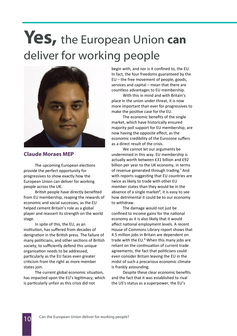# Yes, the European Union can deliver for working people



### Claude Moraes MEP

The upcoming European elections provide the perfect opportunity for progressives to show exactly how the European Union can deliver for working people across the UK.

British people have directly benefited from EU membership, reaping the rewards of economic and social successes, as the EU helped cement Britain's role as a global player and reassert its strength on the world stage.

 In spite of this, the EU, as an institution, has suffered from decades of denigration in the British press. The failure of many politicians, and other sections of British society, to sufficiently defend this unique organisation needs to be addressed, particularly as the EU faces even greater criticism from the right as more member states join.

The current global economic situation, has impacted upon the EU's legitimacy, which is particularly unfair as this crisis did not

begin with, and nor is it confined to, the EU. In fact, the four freedoms guaranteed by the EU – the free movement of people, goods, services and capital – mean that there are countless advantages to EU membership.

 With this in mind and with Britain's place in the union under threat, it is now more important than ever for progressives to make the positive case for the EU.

 The economic benefits of the single market, which have historically ensured majority poll support for EU membership, are now having the opposite effect, as the economic credibility of the Eurozone suffers as a direct result of the crisis.

 We cannot let our arguments be undermined in this way. EU membership is actually worth between £31 billion and £92 billion per year to the UK economy, in terms of revenue generated through trading.<sup>1</sup> And with reports suggesting that EU countries are twice as likely to trade with other EU member states than they would be in the absence of a single market<sup>2</sup>, it is easy to see how detrimental it could be to our economy to withdraw.

 The damage would not just be confined to income gains for the national economy as it is also likely that it would affect national employment levels. A recent House of Commons Library report shows that 4.5 million jobs in Britain are dependent on trade with the EU.<sup>3</sup> When this many jobs are reliant on the continuation of current trade agreements, the fact that politicians could even consider Britain leaving the EU in the midst of such a precarious economic climate is frankly astounding.

 Despite these clear economic benefits and the fact that it was established to rival the US's status as a superpower, the EU's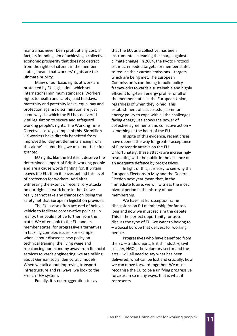mantra has never been profit at any cost. In fact, its founding aim of achieving a collective economic prosperity that does not detract from the rights of citizens in the member states, means that workers' rights are the ultimate priority.

 Many of our basic rights at work are protected by EU legislation, which set international minimum standards. Workers' rights to health and safety, paid holidays, maternity and paternity leave, equal pay and protection against discrimination are just some ways in which the EU has delivered vital legislation to secure and safeguard working people's rights. The Working Time Directive is a key example of this. Six million UK workers have directly benefited from improved holiday entitlements arising from this alone $4$  – something we must not take for granted.

 EU rights, like the EU itself, deserve the determined support of British working people and are a cause worth fighting for. If Britain leaves the EU, then it leaves behind this level of protection for workers. And after witnessing the extent of recent Tory attacks on our rights at work here in the UK, we really cannot take any chances on losing the safety net that European legislation provides.

The EU is also often accused of being a vehicle to facilitate conservative policies. In reality, this could not be further from the truth. We often look to the EU, and its member states, for progressive alternatives in tackling complex issues. For example, when Labour discusses new policy on technical training, the living wage and rebalancing our economy away from financial services towards engineering, we are talking about German social democratic models. When we talk about improving transport infrastructure and railways, we look to the French TGV system.

Equally, it is no exaggeration to say

that the EU, as a collective, has been instrumental in leading the charge against climate change. In 2004, the Kyoto Protocol set much-needed targets for member states to reduce their carbon emissions – targets which are being met. The European Commission is continuing to build policy frameworks towards a sustainable and highly efficient long-term energy profile for all of the member states in the European Union, regardless of when they joined. This establishment of a successful, common energy policy to cope with all the challenges facing energy use shows the power of collective agreements and collective action  $$ something at the heart of the EU.

 In spite of this evidence, recent crises have opened the way for greater acceptance of Eurosceptic attacks on the EU. Unfortunately, these attacks are increasingly resonating with the public in the absence of an adequate defence by progressives.

 In light of this, it is easy to see why the European Elections in May and the General Election next year mean that, in the immediate future, we will witness the most pivotal period in the history of our membership.

We have let Eurosceptics frame discussions on EU membership for far too long and now we must reclaim the debate. This is the perfect opportunity for us to discuss the type of EU, we want to belong to – a Social Europe that delivers for working people.

 Progressives who have benefited from the  $EU$  – trade unions, British industry, civil society, NGOs, the voluntary sector and the arts – will all need to say what has been delivered, what can be lost and crucially, how we can move forward together. We must recognise the EU to be a unifying progressive force as, in so many ways, that is what it represents.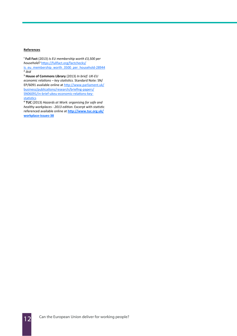### **References**

<sup>1</sup> Full Fact (2013) Is EU membership worth £3,500 per household? https://fullfact.org/factchecks/ is\_eu\_membership\_worth\_3500\_per\_household-28944 ² ibid

<sup>3</sup> House of Commons Library (2013) In brief: UK-EU economic relations – key statistics. Standard Note: SN/ EP/6091 available online at http://www.parliament.uk/ business/publications/research/briefing-papers/ SN06091/in-brief-ukeu-economic-relations-keystatistics

<sup>4</sup> TUC (2013) Hazards at Work: organising for safe and healthy workplaces - 2013 edition. Excerpt with statistic referenced available online at http://www.tuc.org.uk/ workplace-issues-38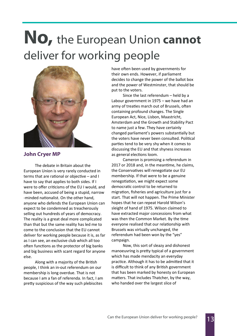# No, the European Union cannot deliver for working people



### John Cryer MP

 The debate in Britain about the European Union is very rarely conducted in terms that are rational or objective  $-$  and I have to say that applies to both sides. If I were to offer criticisms of the EU I would, and have been, accused of being a stupid, narrow -minded nationalist. On the other hand, anyone who defends the European Union can expect to be condemned as treacherously selling out hundreds of years of democracy. The reality is a great deal more complicated than that but the same reality has led me to come to the conclusion that the EU cannot deliver for working people because it is, as far as I can see, an exclusive club which all too often functions as the protector of big banks and big business with scant regard for anyone else.

Along with a majority of the British people, I think an in-out referendum on our membership is long overdue. That is not because I am a fan of referenda. In fact, I am pretty suspicious of the way such plebiscites

have often been used by governments for their own ends. However, if parliament decides to change the power of the ballot box and the power of Westminster, that should be put to the voters.

 Since the last referendum – held by a Labour government in 1975 – we have had an army of treaties march out of Brussels, often containing profound changes. The Single European Act, Nice, Lisbon, Maastricht, Amsterdam and the Growth and Stability Pact to name just a few. They have certainly changed parliament's powers substantially but the voters have never been consulted. Political parties tend to be very shy when it comes to discussing the EU and that shyness increases as general elections loom.

 Cameron is promising a referendum in 2017 or 2018 and, in the meantime, he claims, the Conservatives will renegotiate our EU membership. If that were to be a genuine renegotiation, we might expect some democratic control to be returned to migration, fisheries and agriculture just for a start. That will not happen. The Prime Minister hopes that he can repeat Harold Wilson's sleight of hand of 1975. Wilson claimed to have extracted major concessions from what was then the Common Market. By the time everyone realised that our relationship with Brussels was virtually unchanged, the referendum had been won by the "yes" campaign.

 Now, this sort of sleazy and dishonest manoeuvring is pretty typical of a government which has made mendacity an everyday practice. Although it has to be admitted that it is difficult to think of any British government that has been marked by honesty on European matters. That includes Thatcher, by the way, who handed over the largest slice of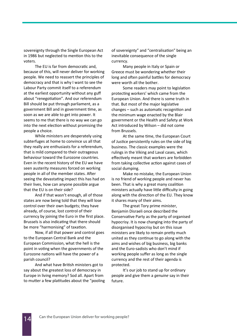sovereignty through the Single European Act in 1986 but neglected to mention this to the voters.

The EU is far from democratic and. because of this, will never deliver for working people. We need to reassert the principles of democracy and that is why I want to see the Labour Party commit itself to a referendum at the earliest opportunity without any guff about "renegotiation". And our referendum Bill should be put through parliament, as a government Bill and in government time, as soon as we are able to get into power. It seems to me that there is no way we can go into the next election without promising the people a choice.

 While ministers are desperately using subterfuges at home to convince us all that they really are enthusiasts for a referendum, that is mild compared to their outrageous behaviour toward the Eurozone countries. Even in the recent history of the EU we have seen austerity measures forced on working people in all of the member states. After seeing the devastating impact this has had on their lives, how can anyone possible argue that the EU is on their side?

 And if that wasn't enough, all of those states are now being told that they will lose control over their own budgets; they have already, of course, lost control of their currency by joining the Euro in the first place. Brussels is also indicating that there should be more "harmonising" of taxation.

 Now, if all that power and control goes to the European Central Bank and the European Commission, what the hell is the point in voting when the governments of the Eurozone nations will have the power of a parish council?

And what have British ministers got to say about the greatest loss of democracy in Europe in living memory? Sod all. Apart from to mutter a few platitudes about the "pooling of sovereignty" and "centralisation" being an inevitable consequence of the single currency.

 Many people in Italy or Spain or Greece must be wondering whether their long and often painful battles for democracy were worth all the bother.

Some readers may point to legislation protecting workers' which came from the European Union. And there is some truth in that. But most of the major legislative  $changes - such as automatic recognition and$ the minimum wage enacted by the Blair government or the Health and Safety at Work Act introduced by Wilson – did not come from Brussels.

At the same time, the European Court of Justice persistently rules on the side of big business. The classic examples were the rulings in the Viking and Laval cases, which effectively meant that workers are forbidden from taking collective action against cases of social dumping.

 Make no mistake, the European Union is no friend of working people and never has been. That is why a great many coalition ministers actually have little difficulty in going along with the direction of the EU. They know it shares many of their aims.

 The great Tory prime minister, Benjamin Disraeli once described the Conservative Party as the party of organised hypocrisy. It is now changing into the party of disorganised hypocrisy but on this issue ministers are likely to remain pretty much united as they continue to go along with the aims and wishes of big business, big banks and the Euro-sadists who don't mind if working people suffer as long as the single currency and the rest of their agenda is protected.

 It's our job to stand up for ordinary people and give them a genuine say in their future.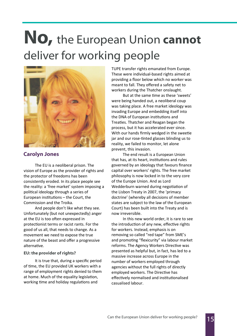# No, the European Union cannot deliver for working people



### Carolyn Jones

 The EU is a neoliberal prison. The vision of Europe as the provider of rights and the protector of freedoms has been consistently eroded. In its place people see the reality: a 'free market' system imposing a political ideology through a series of European institutions  $-$  the Court, the Commission and the Troika.

 And people don't like what they see. Unfortunately (but not unexpectedly) anger at the EU is too often expressed in protectionist terms or racist rants. For the good of us all, that needs to change. As a movement we need to expose the true nature of the beast and offer a progressive alternative.

### EU: the provider of rights?

 It is true that, during a specific period of time, the EU provided UK workers with a range of employment rights denied to them at home. Much of the equality legislation, working time and holiday regulations and

TUPE transfer rights emanated from Europe. These were individual-based rights aimed at providing a floor below which no worker was meant to fall. They offered a safety net to workers during the Thatcher onslaught.

But at the same time as these 'sweets' were being handed out, a neoliberal coup was taking place. A free market ideology was invading Europe and embedding itself into the DNA of European institutions and Treaties. Thatcher and Reagan began the process, but it has accelerated ever since. With our hands firmly wedged in the sweetie jar and our rose-tinted glasses blinding us to reality, we failed to monitor, let alone prevent, this invasion.

 The end result is a European Union that has, at its heart, institutions and rules governed by an ideology that favours finance capital over workers' rights. The free market philosophy is now locked in to the very core of the Europe Union. And as Lord Wedderburn warned during negotiation of the Lisbon Treaty in 2007, the 'primacy doctrine' (whereby all decisions of member states are subject to the law of the European Court) has been built into the Treaty and is now irreversible.

 In this new world order, it is rare to see the introduction of any new, effective rights for workers. Instead, emphasis is on removing so called "red tape" from SME's and promoting "flexicurity" via labour market reforms. The Agency Workers Directive was presented as helpful but, in fact, has led to a massive increase across Europe in the number of workers employed through agencies without the full rights of directly employed workers. The Directive has effectively normalised and institutionalised casualised labour.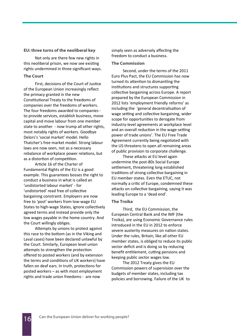### EU: three turns of the neoliberal key

 Not only are there few new rights in this neoliberal prison, we now see existing rights undermined in three significant ways.

### The Court

First, decisions of the Court of Justice of the European Union increasingly reflect the primacy granted in the new Constitutional Treaty to the freedoms of companies over the freedoms of workers. The four freedoms awarded to companies to provide services, establish business, move capital and move labour from one member state to another - now trump all other rights, most notably rights of workers. Goodbye Delors's 'social market' model. Hello Thatcher's free market model. Strong labour laws are now seen, not as a necessary rebalance of workplace power relations, but as a distortion of competition.

Article 16 of the Charter of Fundamental Rights of the EU is a good example. This guarantees bosses the right to conduct a business in what is called an 'undistorted labour market' - for 'undistorted' read free of collective bargaining constraint. Employers are now free to 'post' workers from low-wage EU States to high-wage States, ignore collectively agreed terms and instead provide only the low wages payable in the home country. And the Court willingly obliges.

Attempts by unions to protest against this race to the bottom (as in the Viking and Laval cases) have been declared unlawful by the Court. Similarly, European level union attempts to strengthen the protection offered to posted workers (and by extension the terms and conditions of UK workers) have fallen on deaf ears. In truth, protections for posted workers – as with most employment rights and trade union freedoms - are now

simply seen as adversely affecting the freedom to conduct a business.

#### The Commission

 Second, under the terms of the 2011 Euro Plus Pact, the EU Commission has now turned its attention to dismantling the institutions and structures supporting collective bargaining across Europe. A report prepared by the European Commission in 2012 lists 'employment friendly reforms' as including the 'general decentralisation of wage setting and collective bargaining, wider scope for opportunities to derogate from industry-level agreements at workplace level and an overall reduction in the wage-setting power of trade unions'. The EU Free Trade Agreement currently being negotiated with the US threatens to open all remaining areas of public provision to corporate challenge.

These attacks at EU level again undermine the post-80s Social Europe settlement, threatening long established traditions of strong collective bargaining in EU member states. Even the ETUC, not normally a critic of Europe, condemned these attacks on collective bargaining, saying it was leading Europe to a 'dead end'.

#### The Troika

 Third, the EU Commission, the European Central Bank and the IMF (the Troika), are using Economic Governance rules introduced in the EU in 2012 to enforce severe austerity measures on nation states. Under the rules, Britain, like all other EU member states, is obliged to reduce its public sector deficit and is doing so by reducing benefit entitlement, cutting pensions and keeping public sector wages low.

 The 2012 Treaty gives the EU Commission powers of supervision over the budgets of member states, including tax policies and borrowing. Failure of the UK to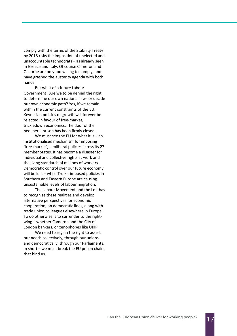comply with the terms of the Stability Treaty by 2018 risks the imposition of unelected and unaccountable technocrats – as already seen in Greece and Italy. Of course Cameron and Osborne are only too willing to comply, and have grasped the austerity agenda with both hands.

 But what of a future Labour Government? Are we to be denied the right to determine our own national laws or decide our own economic path? Yes, if we remain within the current constraints of the EU. Keynesian policies of growth will forever be rejected in favour of free-market, trickledown economics. The door of the neoliberal prison has been firmly closed.

We must see the EU for what it is  $-$  an institutionalised mechanism for imposing 'free-market', neoliberal policies across its 27 member States. It has become a disaster for individual and collective rights at work and the living standards of millions of workers. Democratic control over our future economy will be lost – while Troika-imposed policies in Southern and Eastern Europe are causing unsustainable levels of labour migration.

The Labour Movement and the Left has to recognise these realities and develop alternative perspectives for economic cooperation, on democratic lines, along with trade union colleagues elsewhere in Europe. To do otherwise is to surrender to the rightwing – whether Cameron and the City of London bankers, or xenophobes like UKIP.

 We need to regain the right to assert our needs collectively, through our unions, and democratically, through our Parliaments. In short – we must break the EU prison chains that bind us.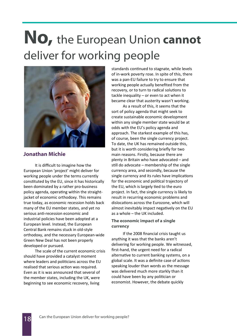# No, the European Union cannot deliver for working people



### Jonathan Michie

 It is difficult to imagine how the European Union 'project' might deliver for working people under the terms currently constituted by the EU, since it has historically been dominated by a rather pro-business policy agenda, operating within the straightjacket of economic orthodoxy. This remains true today, as economic recession holds back many of the EU member states, and yet no serious anti-recession economic and industrial policies have been adopted at a European level. Instead, the European Central Bank remains stuck in old-style orthodoxy, and the necessary European-wide Green New Deal has not been properly developed or pursued.

 The scale of the current economic crisis should have provided a catalyst moment where leaders and politicians across the EU realised that serious action was required. Even as it is was announced that several of the member states, including the UK, were beginning to see economic recovery, living

standards continued to stagnate, while levels of in-work poverty rose. In spite of this, there was a pan-EU failure to try to ensure that working people actually benefited from the recovery, or to turn to radical solutions to tackle inequality – or even to act when it became clear that austerity wasn't working.

 As a result of this, it seems that the sort of policy agenda that might seek to create sustainable economic development within any single member state would be at odds with the EU's policy agenda and approach. The starkest example of this has, of course, been the single currency project. To date, the UK has remained outside this, but it is worth considering briefly for two main reasons. Firstly, because there are plenty in Britain who have advocated – and still do advocate – membership of the single currency area, and secondly, because the single currency and its rules have implications for the economic and political trajectory of the EU, which is largely tied to the euro project. In fact, the single currency is likely to result in recurring economic problems and dislocations across the Eurozone, which will almost inevitably impact negatively on the EU as a whole – the UK included.

### The economic impact of a single currency

 If the 2008 financial crisis taught us anything it was that the banks aren't delivering for working people. We witnessed, first-hand, the urgent need for a radical alternative to current banking systems, on a global scale. It was a definite case of actions speaking louder than words as the message was delivered much more starkly than it could have been by any politician or economist. However, the debate quickly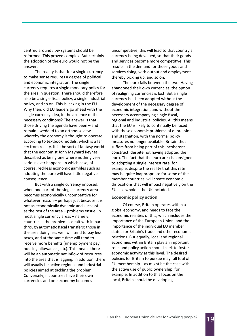centred around how systems should be reformed. This proved complex. But certainly the adoption of the euro would not be the answer.

 The reality is that for a single currency to make sense requires a degree of political and economic integration. The single currency requires a single monetary policy for the area in question. There should therefore also be a single fiscal policy, a single industrial policy, and so on. This is lacking in the EU. Why then, did EU leaders go ahead with the single currency idea, in the absence of the necessary conditions? The answer is that those driving the agenda have been – and remain - wedded to an orthodox view whereby the economy is thought to operate according to textbook models, which is a far cry from reality. It is the sort of fantasy world that the economist John Maynard Keynes described as being one where nothing very serious ever happens. In which case, of course, reckless economic gambles such as adopting the euro will have little negative consequence.

 But with a single currency imposed, when one part of the single currency area becomes economically uncompetitive for whatever reason – perhaps just because it is not as economically dynamic and successful as the rest of the area – problems ensue. In most single currency areas – namely, countries – the problem is dealt with in part through automatic fiscal transfers: those in the area doing less well will tend to pay less taxes, and at the same time will tend to receive more benefits (unemployment pay, housing allowances, etc). This means there will be an automatic net inflow of resources into the area that is lagging. In addition, there will usually be active regional and industrial policies aimed at tackling the problem. Conversely, if countries have their own currencies and one economy becomes

uncompetitive, this will lead to that country's currency being devalued, so that their goods and services become more competitive. This results in the demand for those goods and services rising, with output and employment thereby picking up, and so on.

 The euro falls between the two. Having abandoned their own currencies, the option of realigning currencies is lost. But a single currency has been adopted without the development of the necessary degree of economic integration, and without the necessary accompanying single fiscal, regional and industrial policies. All this means that the EU is likely to continually be faced with these economic problems of depression and stagnation, with the normal policy measures no longer available. Britain thus suffers from being part of this incoherent construct, despite not having adopted the euro. The fact that the euro area is consigned to adopting a single interest rate, for example, despite the reality that this rate may be quite inappropriate for some of the member countries, will create economic dislocations that will impact negatively on the EU as a whole – the UK included.

#### Economic policy action

 Of course, Britain operates within a global economy, and needs to face the economic realities of this, which includes the importance of the European Union, and the importance of the individual EU member states for Britain's trade and other economic relations. But equally, local and regional economies within Britain play an important role, and policy action should seek to foster economic activity at this level. The desired policies for Britain to pursue may fall foul of EU membership – as might be the case with the active use of public ownership, for example. In addition to this focus on the local, Britain should be developing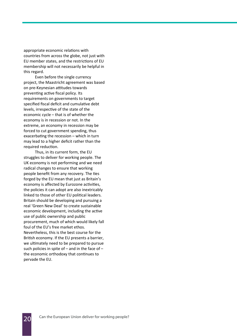appropriate economic relations with countries from across the globe, not just with EU member states, and the restrictions of EU membership will not necessarily be helpful in this regard.

 Even before the single currency project, the Maastricht agreement was based on pre-Keynesian attitudes towards preventing active fiscal policy. Its requirements on governments to target specified fiscal deficit and cumulative debt levels, irrespective of the state of the economic cycle – that is of whether the economy is in recession or not. In the extreme, an economy in recession may be forced to cut government spending, thus exacerbating the recession  $-$  which in turn may lead to a higher deficit rather than the required reduction.

 Thus, in its current form, the EU struggles to deliver for working people. The UK economy is not performing and we need radical changes to ensure that working people benefit from any recovery. The ties forged by the EU mean that just as Britain's economy is affected by Eurozone activities, the policies it can adopt are also inextricably linked to those of other EU political leaders. Britain should be developing and pursuing a real 'Green New Deal' to create sustainable economic development, including the active use of public ownership and public procurement, much of which would likely fall foul of the EU's free market ethos. Nevertheless, this is the best course for the British economy. If the EU presents a barrier, we ultimately need to be prepared to pursue such policies in spite of  $-$  and in the face of  $$ the economic orthodoxy that continues to pervade the EU.